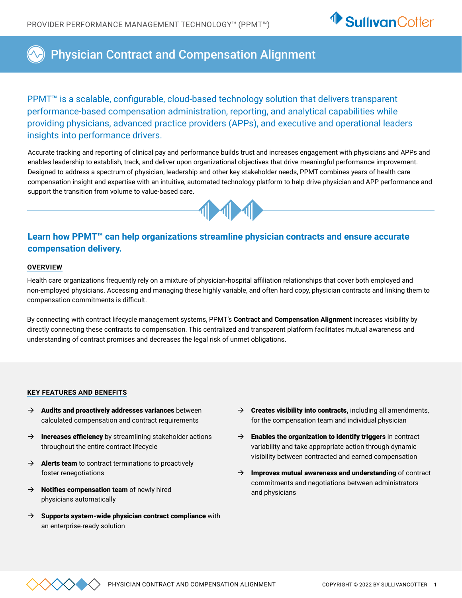

# Physician Contract and Compensation Alignment

PPMT<sup>™</sup> is a scalable, configurable, cloud-based technology solution that delivers transparent performance-based compensation administration, reporting, and analytical capabilities while providing physicians, advanced practice providers (APPs), and executive and operational leaders insights into performance drivers.

Accurate tracking and reporting of clinical pay and performance builds trust and increases engagement with physicians and APPs and enables leadership to establish, track, and deliver upon organizational objectives that drive meaningful performance improvement. Designed to address a spectrum of physician, leadership and other key stakeholder needs, PPMT combines years of health care compensation insight and expertise with an intuitive, automated technology platform to help drive physician and APP performance and support the transition from volume to value-based care.



### **Learn how PPMT™ can help organizations streamline physician contracts and ensure accurate compensation delivery.**

### **OVERVIEW**

Health care organizations frequently rely on a mixture of physician-hospital affiliation relationships that cover both employed and non-employed physicians. Accessing and managing these highly variable, and often hard copy, physician contracts and linking them to compensation commitments is difficult.

By connecting with contract lifecycle management systems, PPMT's **Contract and Compensation Alignment** increases visibility by directly connecting these contracts to compensation. This centralized and transparent platform facilitates mutual awareness and understanding of contract promises and decreases the legal risk of unmet obligations.

#### **KEY FEATURES AND BENEFITS**

- $\rightarrow$  Audits and proactively addresses variances between calculated compensation and contract requirements
- $\rightarrow$  Increases efficiency by streamlining stakeholder actions throughout the entire contract lifecycle
- $\rightarrow$  **Alerts team** to contract terminations to proactively foster renegotiations
- $\rightarrow$  **Notifies compensation team** of newly hired physicians automatically
- $\rightarrow$  Supports system-wide physician contract compliance with an enterprise-ready solution
- $\rightarrow$  Creates visibility into contracts, including all amendments, for the compensation team and individual physician
- $\rightarrow$  **Enables the organization to identify triggers** in contract variability and take appropriate action through dynamic visibility between contracted and earned compensation
- $\rightarrow$  Improves mutual awareness and understanding of contract commitments and negotiations between administrators and physicians